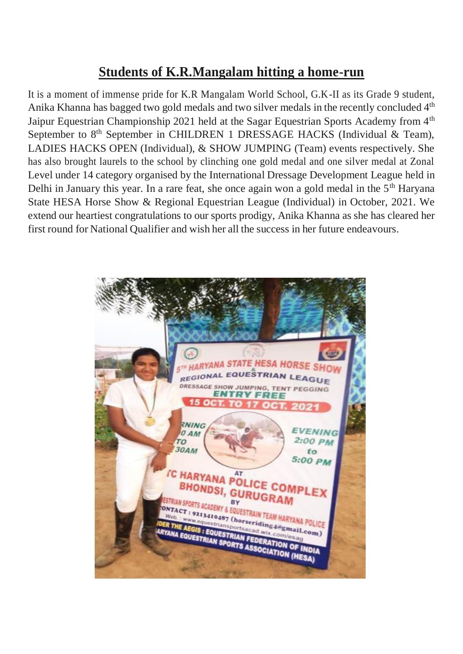## **Students of K.R.Mangalam hitting a home-run**

It is a moment of immense pride for K.R Mangalam World School, G.K-II as its Grade 9 student, Anika Khanna has bagged two gold medals and two silver medals in the recently concluded 4<sup>th</sup> Jaipur Equestrian Championship 2021 held at the Sagar Equestrian Sports Academy from 4th September to 8<sup>th</sup> September in CHILDREN 1 DRESSAGE HACKS (Individual & Team), LADIES HACKS OPEN (Individual), & SHOW JUMPING (Team) events respectively. She has also brought laurels to the school by clinching one gold medal and one silver medal at Zonal Level under 14 category organised by the International Dressage Development League held in Delhi in January this year. In a rare feat, she once again won a gold medal in the 5<sup>th</sup> Haryana State HESA Horse Show & Regional Equestrian League (Individual) in October, 2021. We extend our heartiest congratulations to our sports prodigy, Anika Khanna as she has cleared her first round for National Qualifier and wish her all the success in her future endeavours.

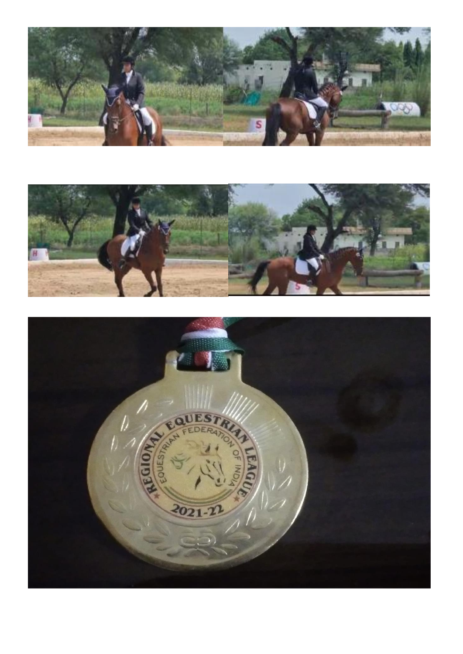



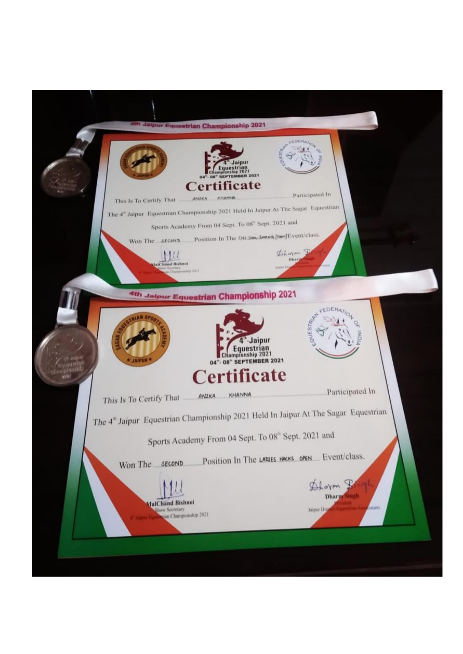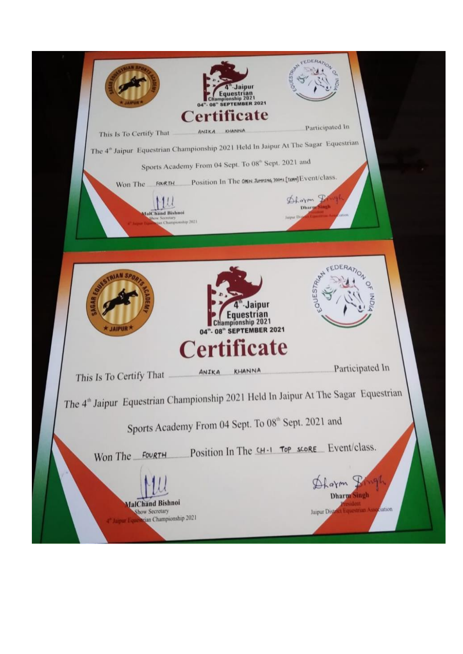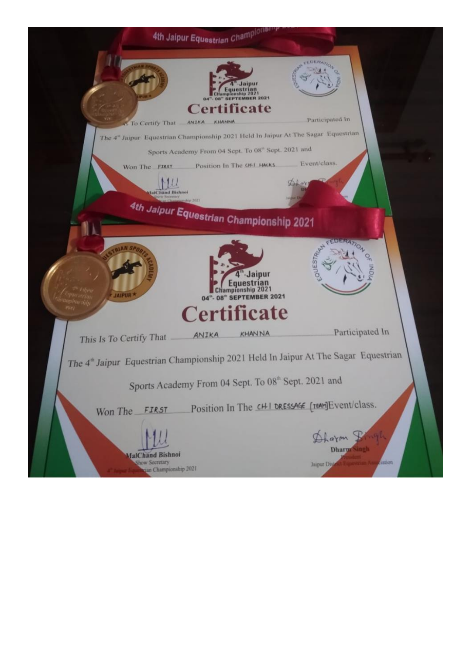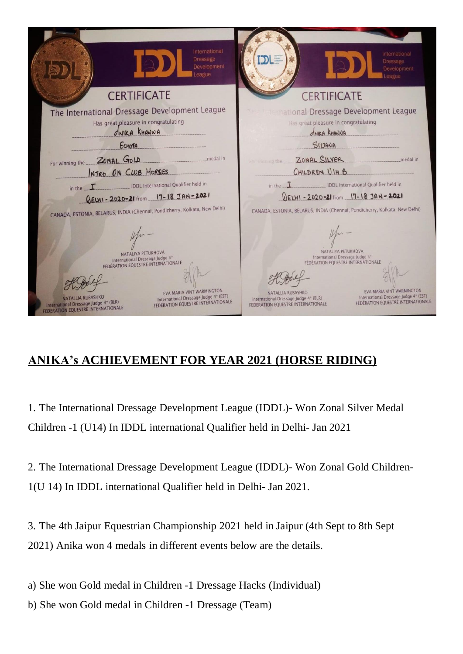| International<br><b>Dressage</b><br>Development<br>League<br><b>CERTIFICATE</b>                                                                                                                                                                                                                                           | International<br>Dressage<br>Development<br>League<br><b>CERTIFICATE</b>                                                                                                                                                                                                                                           |
|---------------------------------------------------------------------------------------------------------------------------------------------------------------------------------------------------------------------------------------------------------------------------------------------------------------------------|--------------------------------------------------------------------------------------------------------------------------------------------------------------------------------------------------------------------------------------------------------------------------------------------------------------------|
| The International Dressage Development League<br>Has great pleasure in congratulating<br>dNIKA KHANNA                                                                                                                                                                                                                     | <b>Entrational Dressage Development League</b><br>Has great pleasure in congratulating<br>divika KHANNA                                                                                                                                                                                                            |
| Еснота                                                                                                                                                                                                                                                                                                                    | SULTANA                                                                                                                                                                                                                                                                                                            |
| For winning the ____ ZONAL GOLD<br>medal in                                                                                                                                                                                                                                                                               |                                                                                                                                                                                                                                                                                                                    |
| INTRO ON CLUB HORSES                                                                                                                                                                                                                                                                                                      | CHILDREN UI4 B                                                                                                                                                                                                                                                                                                     |
| in the T<br>IDDL International Qualifier held in                                                                                                                                                                                                                                                                          | in the I IDDL International Qualifier held in                                                                                                                                                                                                                                                                      |
| OELHI - 2020-21 from 17-18 JAN-2021                                                                                                                                                                                                                                                                                       | DELHI-2020-21 from 17-18 JAN-2021                                                                                                                                                                                                                                                                                  |
| CANADA, ESTONIA, BELARUS, INDIA (Chennai, Pondicherry, Kolkata, New Delhi)                                                                                                                                                                                                                                                | CANADA, ESTONIA, BELARUS, INDIA (Chennai, Pondicherry, Kolkata, New Delhi)                                                                                                                                                                                                                                         |
| NATALIYA PETUKHOVA<br>International Dressage Judge 4*<br>FÉDÉRATION EQUESTRE INTERNATIONALE<br>EVA MARIA VINT WARMINGTON<br>International Dressage Judge 4* (EST)<br><b>NATALLIA RUBASHKO</b><br>FÉDÉRATION EQUESTRE INTERNATIONALE<br>International Dressage Judge 4* (BLR)<br><b>FEDERATION EQUESTRE INTERNATIONALE</b> | NATALIYA PETUKHOVA<br>International Dressage Judge 4*<br>FÉDÉRATION EQUESTRE INTERNATIONALE<br><b>EVA MARIA VINT WARMINGTON</b><br>NATALLIA RUBASHKO<br>International Dressage Judge 4* (EST)<br>International Dressage Judge 4* (BLR)<br>FÉDÉRATION EQUESTRE INTERNATIONALE<br>FEDERATION EQUESTRE INTERNATIONALE |

## **ANIKA's ACHIEVEMENT FOR YEAR 2021 (HORSE RIDING)**

1. The International Dressage Development League (IDDL)- Won Zonal Silver Medal Children -1 (U14) In IDDL international Qualifier held in Delhi- Jan 2021

2. The International Dressage Development League (IDDL)- Won Zonal Gold Children-1(U 14) In IDDL international Qualifier held in Delhi- Jan 2021.

3. The 4th Jaipur Equestrian Championship 2021 held in Jaipur (4th Sept to 8th Sept 2021) Anika won 4 medals in different events below are the details.

a) She won Gold medal in Children -1 Dressage Hacks (Individual)

b) She won Gold medal in Children -1 Dressage (Team)